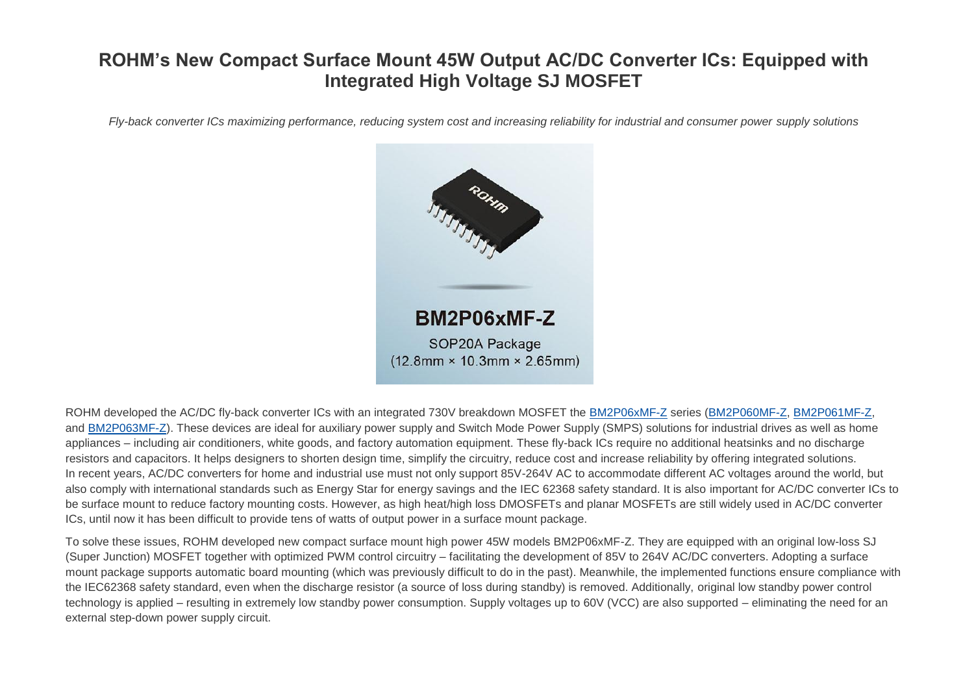# **ROHM's New Compact Surface Mount 45W Output AC/DC Converter ICs: Equipped with Integrated High Voltage SJ MOSFET**

*Fly-back converter ICs maximizing performance, reducing system cost and increasing reliability for industrial and consumer power supply solutions*



ROHM developed the AC/DC fly-back converter ICs with an integrated 730V breakdown MOSFET the [BM2P06xMF-Z](https://www.rohm.com/products/power-management/ac-dc-converters-ics?page=1&SearchWord=mf-z#parametricSearch) series [\(BM2P060MF-Z,](https://www.rohm.com/products/power-management/ac-dc-converters-ics/ac-dc-converters-ics-pwm-qr/bm2p060mf-z-product) [BM2P061MF-Z,](https://www.rohm.com/products/power-management/ac-dc-converters-ics/ac-dc-converters-ics-pwm-qr/bm2p061mf-z-product) and [BM2P063MF-Z\)](https://www.rohm.com/products/power-management/ac-dc-converters-ics/ac-dc-converters-ics-pwm-qr/bm2p063mf-z-product). These devices are ideal for auxiliary power supply and Switch Mode Power Supply (SMPS) solutions for industrial drives as well as home appliances – including air conditioners, white goods, and factory automation equipment. These fly-back ICs require no additional heatsinks and no discharge resistors and capacitors. It helps designers to shorten design time, simplify the circuitry, reduce cost and increase reliability by offering integrated solutions. In recent years, AC/DC converters for home and industrial use must not only support 85V-264V AC to accommodate different AC voltages around the world, but also comply with international standards such as Energy Star for energy savings and the IEC 62368 safety standard. It is also important for AC/DC converter ICs to be surface mount to reduce factory mounting costs. However, as high heat/high loss DMOSFETs and planar MOSFETs are still widely used in AC/DC converter ICs, until now it has been difficult to provide tens of watts of output power in a surface mount package.

To solve these issues, ROHM developed new compact surface mount high power 45W models BM2P06xMF-Z. They are equipped with an original low-loss SJ (Super Junction) MOSFET together with optimized PWM control circuitry – facilitating the development of 85V to 264V AC/DC converters. Adopting a surface mount package supports automatic board mounting (which was previously difficult to do in the past). Meanwhile, the implemented functions ensure compliance with the IEC62368 safety standard, even when the discharge resistor (a source of loss during standby) is removed. Additionally, original low standby power control technology is applied – resulting in extremely low standby power consumption. Supply voltages up to 60V (VCC) are also supported – eliminating the need for an external step-down power supply circuit.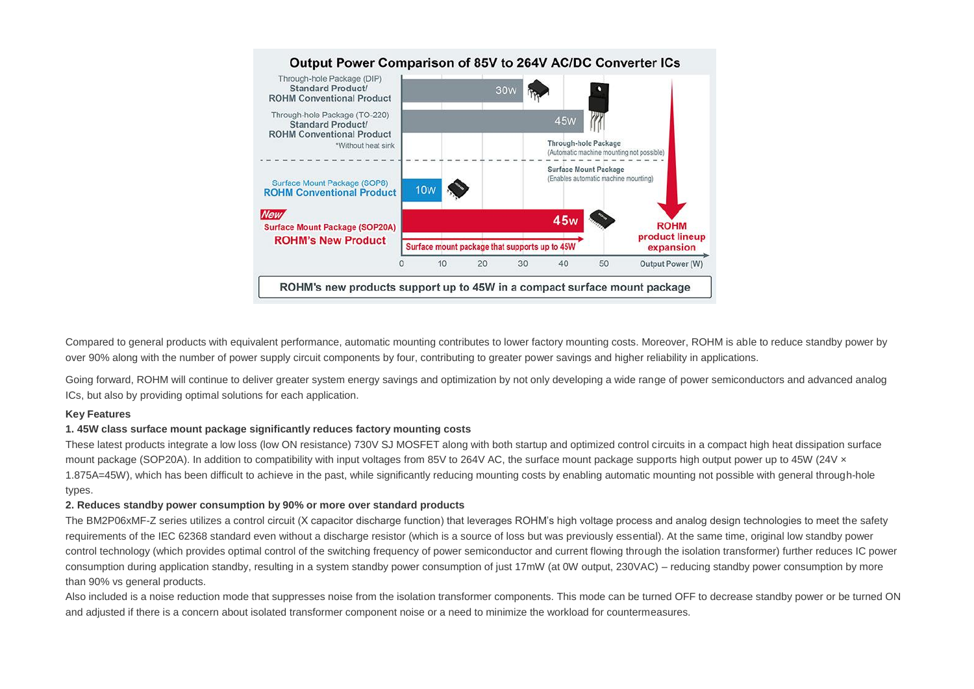

Compared to general products with equivalent performance, automatic mounting contributes to lower factory mounting costs. Moreover, ROHM is able to reduce standby power by over 90% along with the number of power supply circuit components by four, contributing to greater power savings and higher reliability in applications.

Going forward, ROHM will continue to deliver greater system energy savings and optimization by not only developing a wide range of power semiconductors and advanced analog ICs, but also by providing optimal solutions for each application.

### **Key Features**

### **1. 45W class surface mount package significantly reduces factory mounting costs**

These latest products integrate a low loss (low ON resistance) 730V SJ MOSFET along with both startup and optimized control circuits in a compact high heat dissipation surface mount package (SOP20A). In addition to compatibility with input voltages from 85V to 264V AC, the surface mount package supports high output power up to 45W (24V  $\times$ 1.875A=45W), which has been difficult to achieve in the past, while significantly reducing mounting costs by enabling automatic mounting not possible with general through-hole types.

### **2. Reduces standby power consumption by 90% or more over standard products**

The BM2P06xMF-Z series utilizes a control circuit (X capacitor discharge function) that leverages ROHM's high voltage process and analog design technologies to meet the safety requirements of the IEC 62368 standard even without a discharge resistor (which is a source of loss but was previously essential). At the same time, original low standby power control technology (which provides optimal control of the switching frequency of power semiconductor and current flowing through the isolation transformer) further reduces IC power consumption during application standby, resulting in a system standby power consumption of just 17mW (at 0W output, 230VAC) – reducing standby power consumption by more than 90% vs general products.

Also included is a noise reduction mode that suppresses noise from the isolation transformer components. This mode can be turned OFF to decrease standby power or be turned ON and adjusted if there is a concern about isolated transformer component noise or a need to minimize the workload for countermeasures.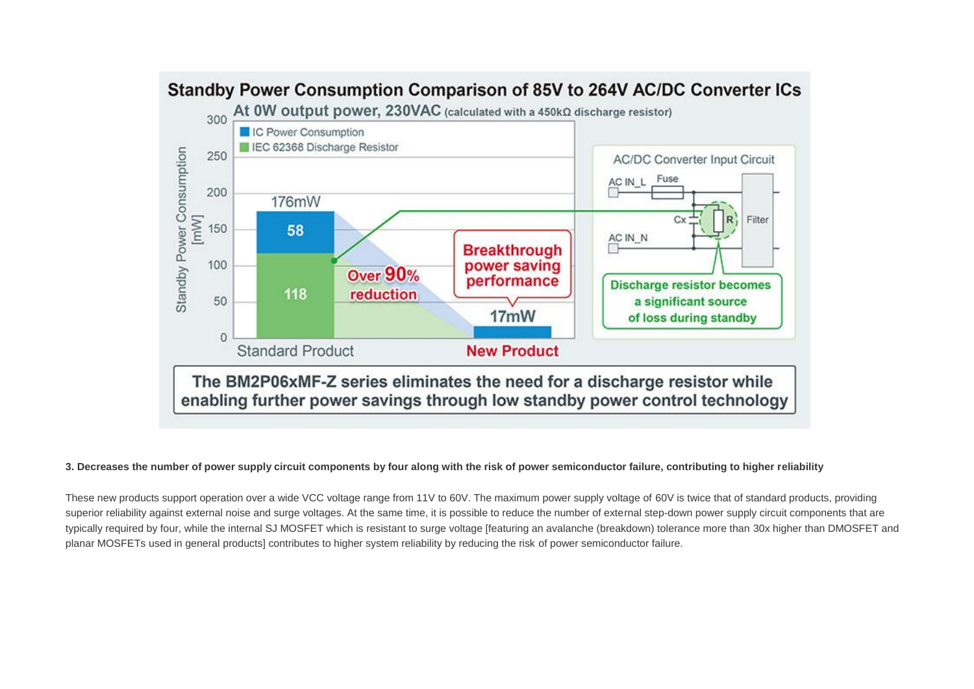

## Standby Power Consumption Comparison of 85V to 264V AC/DC Converter ICs

#### **3. Decreases the number of power supply circuit components by four along with the risk of power semiconductor failure, contributing to higher reliability**

These new products support operation over a wide VCC voltage range from 11V to 60V. The maximum power supply voltage of 60V is twice that of standard products, providing superior reliability against external noise and surge voltages. At the same time, it is possible to reduce the number of external step-down power supply circuit components that are typically required by four, while the internal SJ MOSFET which is resistant to surge voltage [featuring an avalanche (breakdown) tolerance more than 30x higher than DMOSFET and planar MOSFETs used in general products] contributes to higher system reliability by reducing the risk of power semiconductor failure.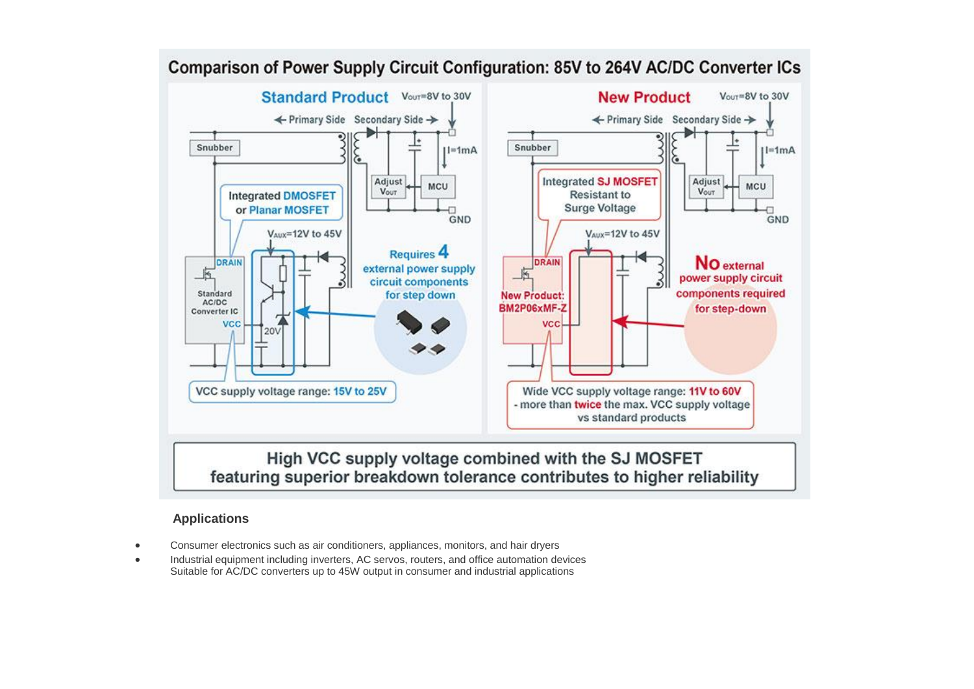

## Comparison of Power Supply Circuit Configuration: 85V to 264V AC/DC Converter ICs

### **Applications**

- Consumer electronics such as air conditioners, appliances, monitors, and hair dryers
- Industrial equipment including inverters, AC servos, routers, and office automation devices Suitable for AC/DC converters up to 45W output in consumer and industrial applications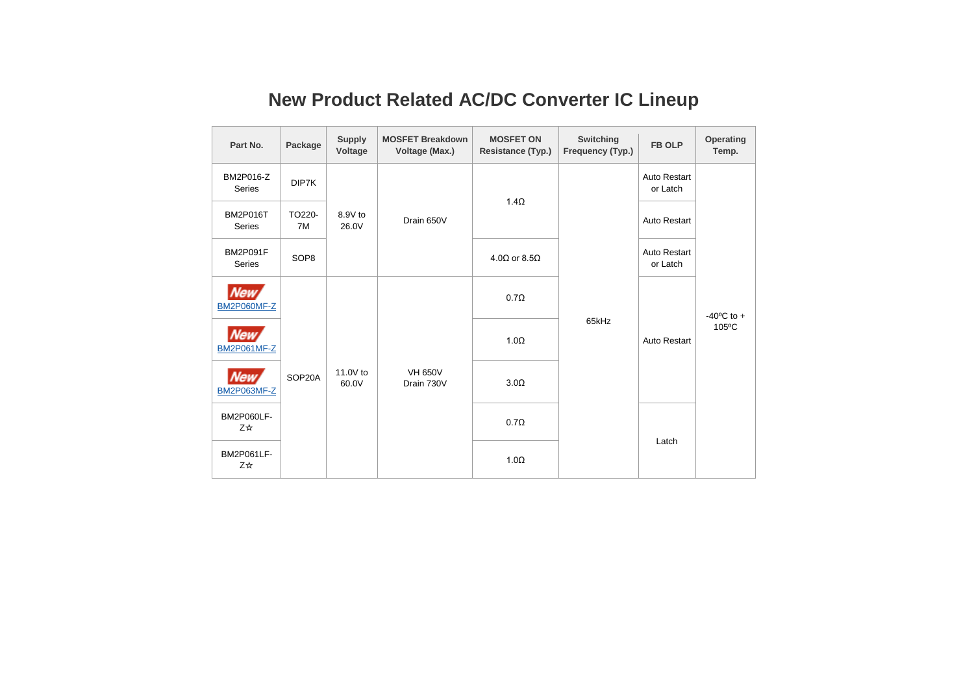# **New Product Related AC/DC Converter IC Lineup**

| Part No.                         | Package          | <b>Supply</b><br>Voltage | <b>MOSFET Breakdown</b><br>Voltage (Max.) | <b>MOSFET ON</b><br>Resistance (Typ.) | Switching<br>Frequency (Typ.) | <b>FB OLP</b>            | Operating<br>Temp.              |
|----------------------------------|------------------|--------------------------|-------------------------------------------|---------------------------------------|-------------------------------|--------------------------|---------------------------------|
| BM2P016-Z<br><b>Series</b>       | DIP7K            | 8.9V to<br>26.0V         | Drain 650V                                | $1.4\Omega$                           | 65kHz                         | Auto Restart<br>or Latch | $-40^{\circ}$ C to $+$<br>105°C |
| <b>BM2P016T</b><br><b>Series</b> | TO220-<br>7M     |                          |                                           |                                       |                               | <b>Auto Restart</b>      |                                 |
| <b>BM2P091F</b><br><b>Series</b> | SOP <sub>8</sub> |                          |                                           | $4.0\Omega$ or $8.5\Omega$            |                               | Auto Restart<br>or Latch |                                 |
| New,<br><b>BM2P060MF-Z</b>       | SOP20A           | 11.0V to<br>60.0V        | <b>VH 650V</b><br>Drain 730V              | $0.7\Omega$                           |                               | Auto Restart             |                                 |
| <b>New</b><br><b>BM2P061MF-Z</b> |                  |                          |                                           | $1.0\Omega$                           |                               |                          |                                 |
| <b>New</b><br><b>BM2P063MF-Z</b> |                  |                          |                                           | $3.0\Omega$                           |                               |                          |                                 |
| BM2P060LF-<br>Z☆                 |                  |                          |                                           | $0.7\Omega$                           |                               | Latch                    |                                 |
| BM2P061LF-<br>Z☆                 |                  |                          |                                           | $1.0\Omega$                           |                               |                          |                                 |